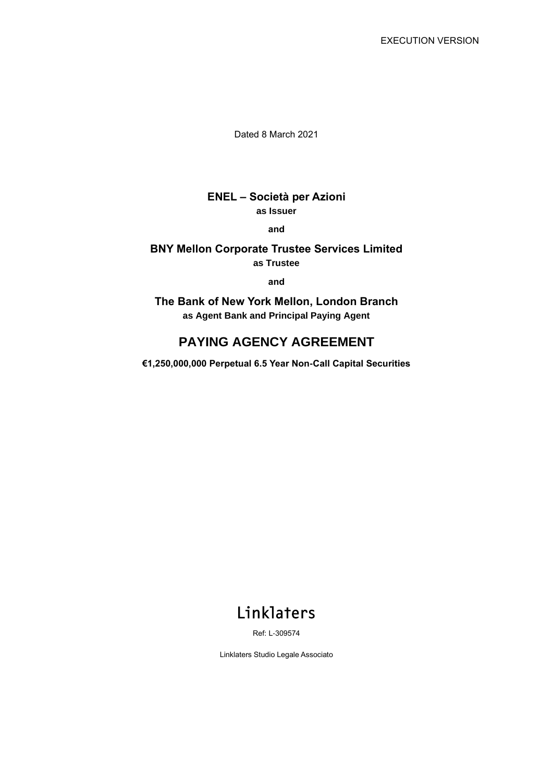Dated 8 March 2021

# **ENEL – Società per Azioni as Issuer**

**and**

#### **BNY Mellon Corporate Trustee Services Limited as Trustee**

**and**

**The Bank of New York Mellon, London Branch as Agent Bank and Principal Paying Agent**

# **PAYING AGENCY AGREEMENT**

**€1,250,000,000 Perpetual 6.5 Year Non-Call Capital Securities**

# Linklaters

Ref: L-309574

Linklaters Studio Legale Associato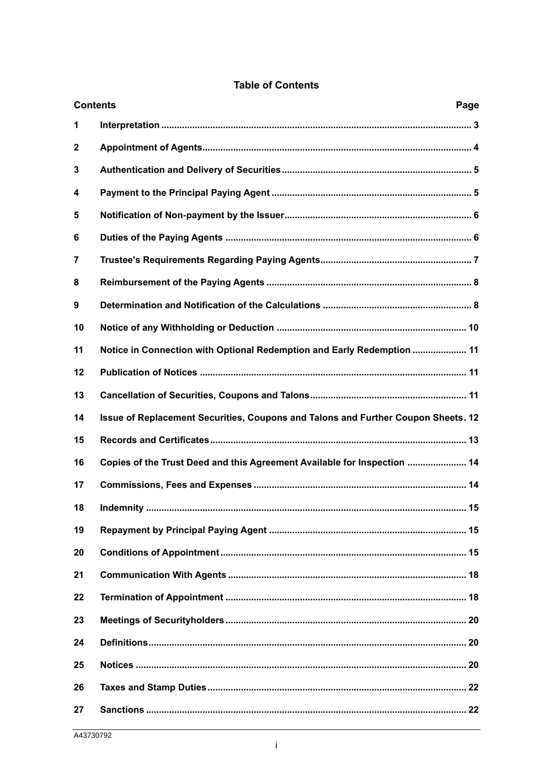|              | <b>Contents</b><br>Page                                                           |  |  |
|--------------|-----------------------------------------------------------------------------------|--|--|
| 1            |                                                                                   |  |  |
| $\mathbf{2}$ |                                                                                   |  |  |
| 3            |                                                                                   |  |  |
| 4            |                                                                                   |  |  |
| 5            |                                                                                   |  |  |
| 6            |                                                                                   |  |  |
| 7            |                                                                                   |  |  |
| 8            |                                                                                   |  |  |
| 9            |                                                                                   |  |  |
| 10           |                                                                                   |  |  |
| 11           | Notice in Connection with Optional Redemption and Early Redemption  11            |  |  |
| 12           |                                                                                   |  |  |
| 13           |                                                                                   |  |  |
| 14           | Issue of Replacement Securities, Coupons and Talons and Further Coupon Sheets. 12 |  |  |
| 15           |                                                                                   |  |  |
| 16           | Copies of the Trust Deed and this Agreement Available for Inspection  14          |  |  |
| 17           |                                                                                   |  |  |
| 18           |                                                                                   |  |  |
| 19           |                                                                                   |  |  |
| 20           |                                                                                   |  |  |
| 21           |                                                                                   |  |  |
| 22           |                                                                                   |  |  |
| 23           |                                                                                   |  |  |
| 24           |                                                                                   |  |  |
| 25           |                                                                                   |  |  |
| 26           |                                                                                   |  |  |
| 27           |                                                                                   |  |  |

## **Table of Contents**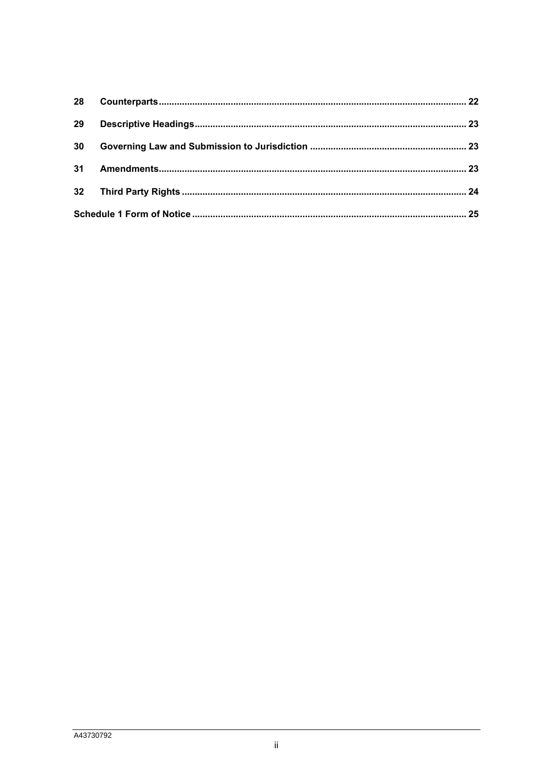| 28 |  |  |
|----|--|--|
| 29 |  |  |
| 30 |  |  |
| 31 |  |  |
|    |  |  |
| 25 |  |  |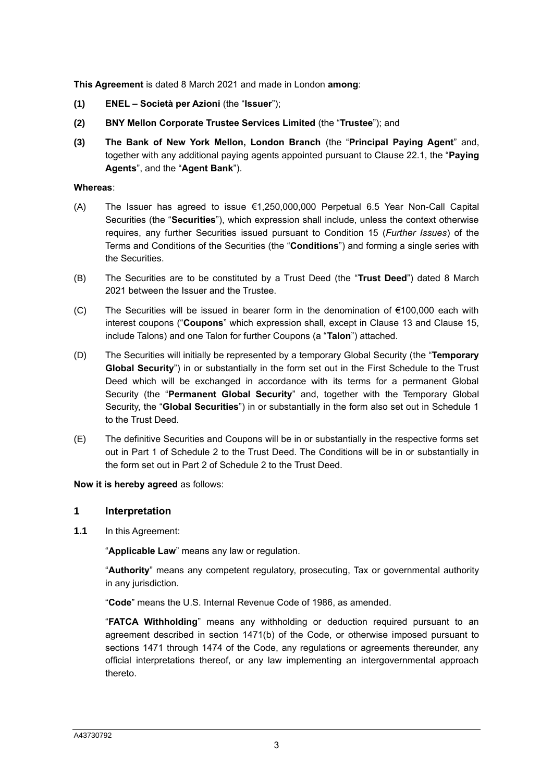**This Agreement** is dated 8 March 2021 and made in London **among**:

- **(1) ENEL – Società per Azioni** (the "**Issuer**");
- **(2) BNY Mellon Corporate Trustee Services Limited** (the "**Trustee**"); and
- **(3) The Bank of New York Mellon, London Branch** (the "**Principal Paying Agent**" and, together with any additional paying agents appointed pursuant to Clause [22.1,](#page-18-0) the "**Paying Agents**", and the "**Agent Bank**").

#### **Whereas**:

- (A) The Issuer has agreed to issue  $\epsilon$ 1,250,000,000 Perpetual 6.5 Year Non-Call Capital Securities (the "**Securities**"), which expression shall include, unless the context otherwise requires, any further Securities issued pursuant to Condition 15 (*Further Issues*) of the Terms and Conditions of the Securities (the "**Conditions**") and forming a single series with the Securities.
- (B) The Securities are to be constituted by a Trust Deed (the "**Trust Deed**") dated 8 March 2021 between the Issuer and the Trustee.
- (C) The Securities will be issued in bearer form in the denomination of €100,000 each with interest coupons ("**Coupons**" which expression shall, except in Clause [13](#page-11-0) and Clause [15,](#page-13-0) include Talons) and one Talon for further Coupons (a "**Talon**") attached.
- (D) The Securities will initially be represented by a temporary Global Security (the "**Temporary Global Security**") in or substantially in the form set out in the First Schedule to the Trust Deed which will be exchanged in accordance with its terms for a permanent Global Security (the "**Permanent Global Security**" and, together with the Temporary Global Security, the "**Global Securities**") in or substantially in the form also set out in Schedule 1 to the Trust Deed.
- (E) The definitive Securities and Coupons will be in or substantially in the respective forms set out in Part 1 of Schedule 2 to the Trust Deed. The Conditions will be in or substantially in the form set out in Part 2 of Schedule 2 to the Trust Deed.

**Now it is hereby agreed** as follows:

#### **1 Interpretation**

**1.1** In this Agreement:

"**Applicable Law**" means any law or regulation.

"**Authority**" means any competent regulatory, prosecuting, Tax or governmental authority in any jurisdiction.

"**Code**" means the U.S. Internal Revenue Code of 1986, as amended.

"**FATCA Withholding**" means any withholding or deduction required pursuant to an agreement described in section 1471(b) of the Code, or otherwise imposed pursuant to sections 1471 through 1474 of the Code, any regulations or agreements thereunder, any official interpretations thereof, or any law implementing an intergovernmental approach thereto.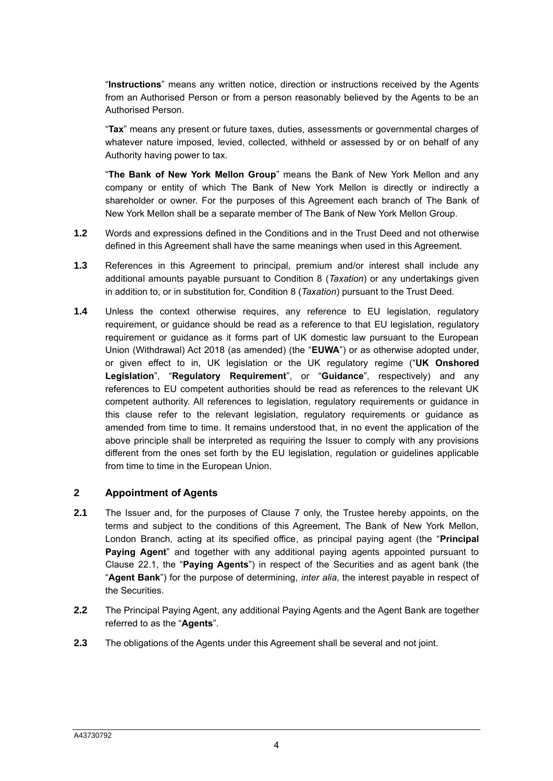"**Instructions**" means any written notice, direction or instructions received by the Agents from an Authorised Person or from a person reasonably believed by the Agents to be an Authorised Person.

"**Tax**" means any present or future taxes, duties, assessments or governmental charges of whatever nature imposed, levied, collected, withheld or assessed by or on behalf of any Authority having power to tax.

"**The Bank of New York Mellon Group**" means the Bank of New York Mellon and any company or entity of which The Bank of New York Mellon is directly or indirectly a shareholder or owner. For the purposes of this Agreement each branch of The Bank of New York Mellon shall be a separate member of The Bank of New York Mellon Group.

- **1.2** Words and expressions defined in the Conditions and in the Trust Deed and not otherwise defined in this Agreement shall have the same meanings when used in this Agreement.
- **1.3** References in this Agreement to principal, premium and/or interest shall include any additional amounts payable pursuant to Condition 8 (*Taxation*) or any undertakings given in addition to, or in substitution for, Condition 8 (*Taxation*) pursuant to the Trust Deed.
- **1.4** Unless the context otherwise requires, any reference to EU legislation, regulatory requirement, or guidance should be read as a reference to that EU legislation, regulatory requirement or guidance as it forms part of UK domestic law pursuant to the European Union (Withdrawal) Act 2018 (as amended) (the "**EUWA**") or as otherwise adopted under, or given effect to in, UK legislation or the UK regulatory regime ("**UK Onshored Legislation**", "**Regulatory Requirement**", or "**Guidance**", respectively) and any references to EU competent authorities should be read as references to the relevant UK competent authority. All references to legislation, regulatory requirements or guidance in this clause refer to the relevant legislation, regulatory requirements or guidance as amended from time to time. It remains understood that, in no event the application of the above principle shall be interpreted as requiring the Issuer to comply with any provisions different from the ones set forth by the EU legislation, regulation or guidelines applicable from time to time in the European Union.

#### **2 Appointment of Agents**

- **2.1** The Issuer and, for the purposes of Clause [7](#page-7-0) only, the Trustee hereby appoints, on the terms and subject to the conditions of this Agreement, The Bank of New York Mellon, London Branch, acting at its specified office, as principal paying agent (the "**Principal Paying Agent**" and together with any additional paying agents appointed pursuant to Clause [22.1,](#page-18-0) the "**Paying Agents**") in respect of the Securities and as agent bank (the "**Agent Bank**") for the purpose of determining, *inter alia*, the interest payable in respect of the Securities.
- **2.2** The Principal Paying Agent, any additional Paying Agents and the Agent Bank are together referred to as the "**Agents**".
- **2.3** The obligations of the Agents under this Agreement shall be several and not joint.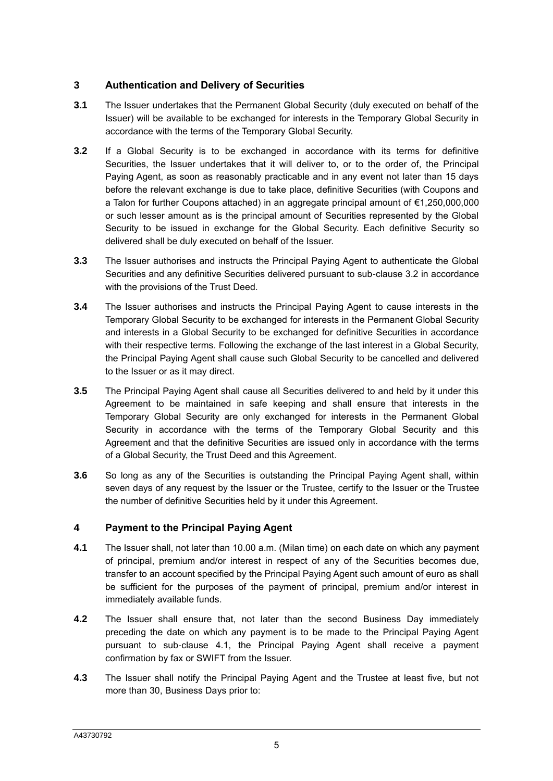# **3 Authentication and Delivery of Securities**

- **3.1** The Issuer undertakes that the Permanent Global Security (duly executed on behalf of the Issuer) will be available to be exchanged for interests in the Temporary Global Security in accordance with the terms of the Temporary Global Security.
- <span id="page-5-0"></span>**3.2** If a Global Security is to be exchanged in accordance with its terms for definitive Securities, the Issuer undertakes that it will deliver to, or to the order of, the Principal Paying Agent, as soon as reasonably practicable and in any event not later than 15 days before the relevant exchange is due to take place, definitive Securities (with Coupons and a Talon for further Coupons attached) in an aggregate principal amount of €1,250,000,000 or such lesser amount as is the principal amount of Securities represented by the Global Security to be issued in exchange for the Global Security. Each definitive Security so delivered shall be duly executed on behalf of the Issuer.
- **3.3** The Issuer authorises and instructs the Principal Paying Agent to authenticate the Global Securities and any definitive Securities delivered pursuant to sub-clause [3.2](#page-5-0) in accordance with the provisions of the Trust Deed.
- **3.4** The Issuer authorises and instructs the Principal Paying Agent to cause interests in the Temporary Global Security to be exchanged for interests in the Permanent Global Security and interests in a Global Security to be exchanged for definitive Securities in accordance with their respective terms. Following the exchange of the last interest in a Global Security, the Principal Paying Agent shall cause such Global Security to be cancelled and delivered to the Issuer or as it may direct.
- **3.5** The Principal Paying Agent shall cause all Securities delivered to and held by it under this Agreement to be maintained in safe keeping and shall ensure that interests in the Temporary Global Security are only exchanged for interests in the Permanent Global Security in accordance with the terms of the Temporary Global Security and this Agreement and that the definitive Securities are issued only in accordance with the terms of a Global Security, the Trust Deed and this Agreement.
- **3.6** So long as any of the Securities is outstanding the Principal Paying Agent shall, within seven days of any request by the Issuer or the Trustee, certify to the Issuer or the Trustee the number of definitive Securities held by it under this Agreement.

#### <span id="page-5-2"></span>**4 Payment to the Principal Paying Agent**

- <span id="page-5-1"></span>**4.1** The Issuer shall, not later than 10.00 a.m. (Milan time) on each date on which any payment of principal, premium and/or interest in respect of any of the Securities becomes due, transfer to an account specified by the Principal Paying Agent such amount of euro as shall be sufficient for the purposes of the payment of principal, premium and/or interest in immediately available funds.
- **4.2** The Issuer shall ensure that, not later than the second Business Day immediately preceding the date on which any payment is to be made to the Principal Paying Agent pursuant to sub-clause [4.1,](#page-5-1) the Principal Paying Agent shall receive a payment confirmation by fax or SWIFT from the Issuer.
- **4.3** The Issuer shall notify the Principal Paying Agent and the Trustee at least five, but not more than 30, Business Days prior to: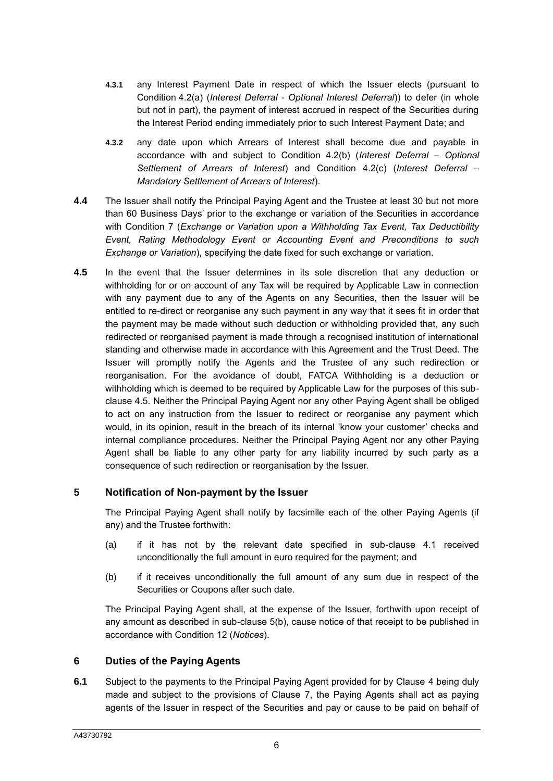- **4.3.1** any Interest Payment Date in respect of which the Issuer elects (pursuant to Condition 4.2(a) (*Interest Deferral - Optional Interest Deferral*)) to defer (in whole but not in part), the payment of interest accrued in respect of the Securities during the Interest Period ending immediately prior to such Interest Payment Date; and
- **4.3.2** any date upon which Arrears of Interest shall become due and payable in accordance with and subject to Condition 4.2(b) (*Interest Deferral – Optional Settlement of Arrears of Interest*) and Condition 4.2(c) (*Interest Deferral – Mandatory Settlement of Arrears of Interest*).
- **4.4** The Issuer shall notify the Principal Paying Agent and the Trustee at least 30 but not more than 60 Business Days' prior to the exchange or variation of the Securities in accordance with Condition 7 (*Exchange or Variation upon a Withholding Tax Event, Tax Deductibility Event, Rating Methodology Event or Accounting Event and Preconditions to such Exchange or Variation*), specifying the date fixed for such exchange or variation.
- **4.5** In the event that the Issuer determines in its sole discretion that any deduction or withholding for or on account of any Tax will be required by Applicable Law in connection with any payment due to any of the Agents on any Securities, then the Issuer will be entitled to re-direct or reorganise any such payment in any way that it sees fit in order that the payment may be made without such deduction or withholding provided that, any such redirected or reorganised payment is made through a recognised institution of international standing and otherwise made in accordance with this Agreement and the Trust Deed. The Issuer will promptly notify the Agents and the Trustee of any such redirection or reorganisation. For the avoidance of doubt, FATCA Withholding is a deduction or withholding which is deemed to be required by Applicable Law for the purposes of this subclause 4.5. Neither the Principal Paying Agent nor any other Paying Agent shall be obliged to act on any instruction from the Issuer to redirect or reorganise any payment which would, in its opinion, result in the breach of its internal 'know your customer' checks and internal compliance procedures. Neither the Principal Paying Agent nor any other Paying Agent shall be liable to any other party for any liability incurred by such party as a consequence of such redirection or reorganisation by the Issuer.

#### <span id="page-6-0"></span>**5 Notification of Non-payment by the Issuer**

The Principal Paying Agent shall notify by facsimile each of the other Paying Agents (if any) and the Trustee forthwith:

- (a) if it has not by the relevant date specified in sub-clause [4.1](#page-5-1) received unconditionally the full amount in euro required for the payment; and
- <span id="page-6-1"></span>(b) if it receives unconditionally the full amount of any sum due in respect of the Securities or Coupons after such date.

The Principal Paying Agent shall, at the expense of the Issuer, forthwith upon receipt of any amount as described in sub-clause [5](#page-6-0)[\(b\),](#page-6-1) cause notice of that receipt to be published in accordance with Condition 12 (*Notices*).

#### **6 Duties of the Paying Agents**

<span id="page-6-2"></span>**6.1** Subject to the payments to the Principal Paying Agent provided for by Clause [4](#page-5-2) being duly made and subject to the provisions of Clause [7,](#page-7-0) the Paying Agents shall act as paying agents of the Issuer in respect of the Securities and pay or cause to be paid on behalf of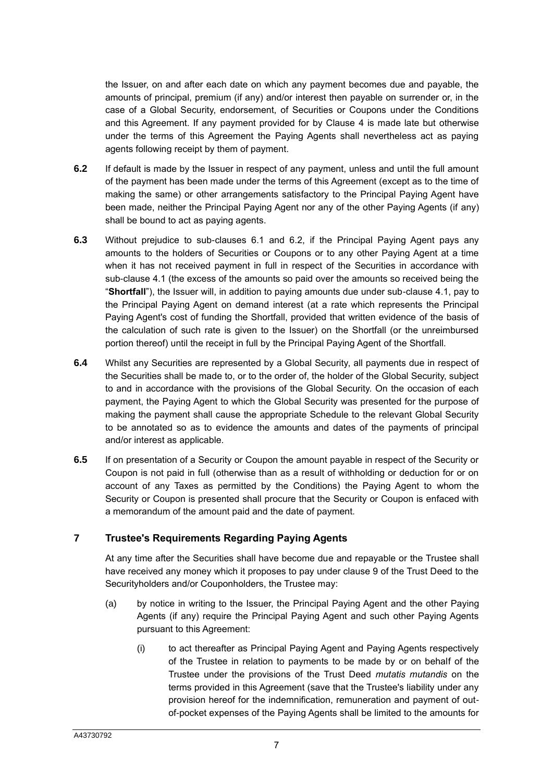the Issuer, on and after each date on which any payment becomes due and payable, the amounts of principal, premium (if any) and/or interest then payable on surrender or, in the case of a Global Security, endorsement, of Securities or Coupons under the Conditions and this Agreement. If any payment provided for by Clause [4](#page-5-2) is made late but otherwise under the terms of this Agreement the Paying Agents shall nevertheless act as paying agents following receipt by them of payment.

- <span id="page-7-1"></span>**6.2** If default is made by the Issuer in respect of any payment, unless and until the full amount of the payment has been made under the terms of this Agreement (except as to the time of making the same) or other arrangements satisfactory to the Principal Paying Agent have been made, neither the Principal Paying Agent nor any of the other Paying Agents (if any) shall be bound to act as paying agents.
- **6.3** Without prejudice to sub-clauses [6.1](#page-6-2) and [6.2,](#page-7-1) if the Principal Paying Agent pays any amounts to the holders of Securities or Coupons or to any other Paying Agent at a time when it has not received payment in full in respect of the Securities in accordance with sub-clause [4.1](#page-5-1) (the excess of the amounts so paid over the amounts so received being the "**Shortfall**"), the Issuer will, in addition to paying amounts due under sub-clause [4.1,](#page-5-1) pay to the Principal Paying Agent on demand interest (at a rate which represents the Principal Paying Agent's cost of funding the Shortfall, provided that written evidence of the basis of the calculation of such rate is given to the Issuer) on the Shortfall (or the unreimbursed portion thereof) until the receipt in full by the Principal Paying Agent of the Shortfall.
- **6.4** Whilst any Securities are represented by a Global Security, all payments due in respect of the Securities shall be made to, or to the order of, the holder of the Global Security, subject to and in accordance with the provisions of the Global Security. On the occasion of each payment, the Paying Agent to which the Global Security was presented for the purpose of making the payment shall cause the appropriate Schedule to the relevant Global Security to be annotated so as to evidence the amounts and dates of the payments of principal and/or interest as applicable.
- **6.5** If on presentation of a Security or Coupon the amount payable in respect of the Security or Coupon is not paid in full (otherwise than as a result of withholding or deduction for or on account of any Taxes as permitted by the Conditions) the Paying Agent to whom the Security or Coupon is presented shall procure that the Security or Coupon is enfaced with a memorandum of the amount paid and the date of payment.

# <span id="page-7-0"></span>**7 Trustee's Requirements Regarding Paying Agents**

At any time after the Securities shall have become due and repayable or the Trustee shall have received any money which it proposes to pay under clause 9 of the Trust Deed to the Securityholders and/or Couponholders, the Trustee may:

- (a) by notice in writing to the Issuer, the Principal Paying Agent and the other Paying Agents (if any) require the Principal Paying Agent and such other Paying Agents pursuant to this Agreement:
	- (i) to act thereafter as Principal Paying Agent and Paying Agents respectively of the Trustee in relation to payments to be made by or on behalf of the Trustee under the provisions of the Trust Deed *mutatis mutandis* on the terms provided in this Agreement (save that the Trustee's liability under any provision hereof for the indemnification, remuneration and payment of outof-pocket expenses of the Paying Agents shall be limited to the amounts for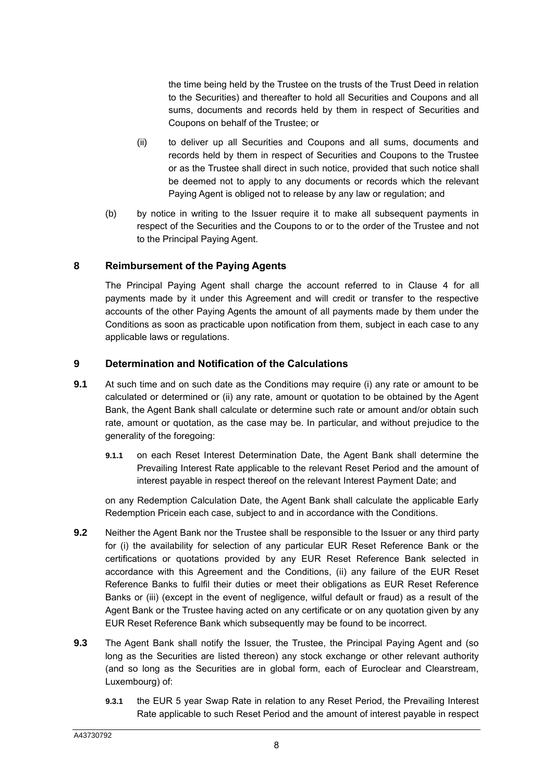the time being held by the Trustee on the trusts of the Trust Deed in relation to the Securities) and thereafter to hold all Securities and Coupons and all sums, documents and records held by them in respect of Securities and Coupons on behalf of the Trustee; or

- (ii) to deliver up all Securities and Coupons and all sums, documents and records held by them in respect of Securities and Coupons to the Trustee or as the Trustee shall direct in such notice, provided that such notice shall be deemed not to apply to any documents or records which the relevant Paying Agent is obliged not to release by any law or regulation; and
- (b) by notice in writing to the Issuer require it to make all subsequent payments in respect of the Securities and the Coupons to or to the order of the Trustee and not to the Principal Paying Agent.

#### **8 Reimbursement of the Paying Agents**

The Principal Paying Agent shall charge the account referred to in Clause [4](#page-5-2) for all payments made by it under this Agreement and will credit or transfer to the respective accounts of the other Paying Agents the amount of all payments made by them under the Conditions as soon as practicable upon notification from them, subject in each case to any applicable laws or regulations.

#### <span id="page-8-1"></span>**9 Determination and Notification of the Calculations**

- **9.1** At such time and on such date as the Conditions may require (i) any rate or amount to be calculated or determined or (ii) any rate, amount or quotation to be obtained by the Agent Bank, the Agent Bank shall calculate or determine such rate or amount and/or obtain such rate, amount or quotation, as the case may be. In particular, and without prejudice to the generality of the foregoing:
	- **9.1.1** on each Reset Interest Determination Date, the Agent Bank shall determine the Prevailing Interest Rate applicable to the relevant Reset Period and the amount of interest payable in respect thereof on the relevant Interest Payment Date; and

on any Redemption Calculation Date, the Agent Bank shall calculate the applicable Early Redemption Pricein each case, subject to and in accordance with the Conditions.

- **9.2** Neither the Agent Bank nor the Trustee shall be responsible to the Issuer or any third party for (i) the availability for selection of any particular EUR Reset Reference Bank or the certifications or quotations provided by any EUR Reset Reference Bank selected in accordance with this Agreement and the Conditions, (ii) any failure of the EUR Reset Reference Banks to fulfil their duties or meet their obligations as EUR Reset Reference Banks or (iii) (except in the event of negligence, wilful default or fraud) as a result of the Agent Bank or the Trustee having acted on any certificate or on any quotation given by any EUR Reset Reference Bank which subsequently may be found to be incorrect.
- <span id="page-8-2"></span><span id="page-8-0"></span>**9.3** The Agent Bank shall notify the Issuer, the Trustee, the Principal Paying Agent and (so long as the Securities are listed thereon) any stock exchange or other relevant authority (and so long as the Securities are in global form, each of Euroclear and Clearstream, Luxembourg) of:
	- **9.3.1** the EUR 5 year Swap Rate in relation to any Reset Period, the Prevailing Interest Rate applicable to such Reset Period and the amount of interest payable in respect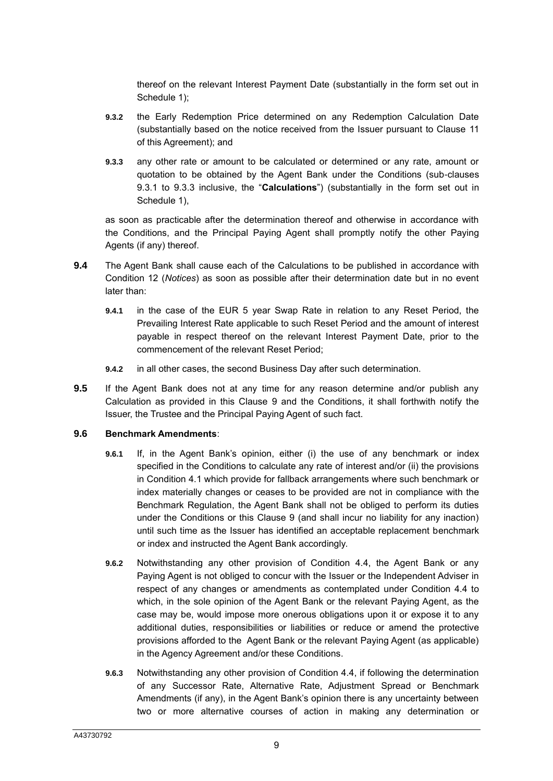thereof on the relevant Interest Payment Date (substantially in the form set out in [Schedule 1\)](#page-25-0);

- **9.3.2** the Early Redemption Price determined on any Redemption Calculation Date (substantially based on the notice received from the Issuer pursuant to Clause [11](#page-11-1) of this Agreement); and
- <span id="page-9-0"></span>**9.3.3** any other rate or amount to be calculated or determined or any rate, amount or quotation to be obtained by the Agent Bank under the Conditions (sub-clauses [9.3.1](#page-8-0) to [9.3.3](#page-9-0) inclusive, the "**Calculations**") (substantially in the form set out in [Schedule 1\)](#page-25-0).

as soon as practicable after the determination thereof and otherwise in accordance with the Conditions, and the Principal Paying Agent shall promptly notify the other Paying Agents (if any) thereof.

- **9.4** The Agent Bank shall cause each of the Calculations to be published in accordance with Condition 12 (*Notices*) as soon as possible after their determination date but in no event later than:
	- **9.4.1** in the case of the EUR 5 year Swap Rate in relation to any Reset Period, the Prevailing Interest Rate applicable to such Reset Period and the amount of interest payable in respect thereof on the relevant Interest Payment Date, prior to the commencement of the relevant Reset Period;
	- **9.4.2** in all other cases, the second Business Day after such determination.
- **9.5** If the Agent Bank does not at any time for any reason determine and/or publish any Calculation as provided in this Clause [9](#page-8-1) and the Conditions, it shall forthwith notify the Issuer, the Trustee and the Principal Paying Agent of such fact.

#### **9.6 Benchmark Amendments**:

- **9.6.1** If, in the Agent Bank's opinion, either (i) the use of any benchmark or index specified in the Conditions to calculate any rate of interest and/or (ii) the provisions in Condition 4.1 which provide for fallback arrangements where such benchmark or index materially changes or ceases to be provided are not in compliance with the Benchmark Regulation, the Agent Bank shall not be obliged to perform its duties under the Conditions or this Clause 9 (and shall incur no liability for any inaction) until such time as the Issuer has identified an acceptable replacement benchmark or index and instructed the Agent Bank accordingly.
- **9.6.2** Notwithstanding any other provision of Condition 4.4, the Agent Bank or any Paying Agent is not obliged to concur with the Issuer or the Independent Adviser in respect of any changes or amendments as contemplated under Condition 4.4 to which, in the sole opinion of the Agent Bank or the relevant Paying Agent, as the case may be, would impose more onerous obligations upon it or expose it to any additional duties, responsibilities or liabilities or reduce or amend the protective provisions afforded to the Agent Bank or the relevant Paying Agent (as applicable) in the Agency Agreement and/or these Conditions.
- **9.6.3** Notwithstanding any other provision of Condition 4.4, if following the determination of any Successor Rate, Alternative Rate, Adjustment Spread or Benchmark Amendments (if any), in the Agent Bank's opinion there is any uncertainty between two or more alternative courses of action in making any determination or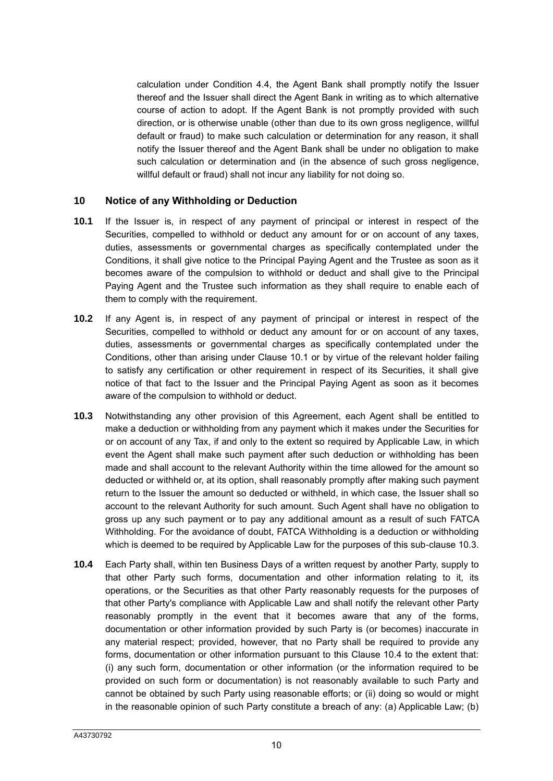calculation under Condition 4.4, the Agent Bank shall promptly notify the Issuer thereof and the Issuer shall direct the Agent Bank in writing as to which alternative course of action to adopt. If the Agent Bank is not promptly provided with such direction, or is otherwise unable (other than due to its own gross negligence, willful default or fraud) to make such calculation or determination for any reason, it shall notify the Issuer thereof and the Agent Bank shall be under no obligation to make such calculation or determination and (in the absence of such gross negligence, willful default or fraud) shall not incur any liability for not doing so.

#### **10 Notice of any Withholding or Deduction**

- **10.1** If the Issuer is, in respect of any payment of principal or interest in respect of the Securities, compelled to withhold or deduct any amount for or on account of any taxes, duties, assessments or governmental charges as specifically contemplated under the Conditions, it shall give notice to the Principal Paying Agent and the Trustee as soon as it becomes aware of the compulsion to withhold or deduct and shall give to the Principal Paying Agent and the Trustee such information as they shall require to enable each of them to comply with the requirement.
- **10.2** If any Agent is, in respect of any payment of principal or interest in respect of the Securities, compelled to withhold or deduct any amount for or on account of any taxes, duties, assessments or governmental charges as specifically contemplated under the Conditions, other than arising under Clause 10.1 or by virtue of the relevant holder failing to satisfy any certification or other requirement in respect of its Securities, it shall give notice of that fact to the Issuer and the Principal Paying Agent as soon as it becomes aware of the compulsion to withhold or deduct.
- **10.3** Notwithstanding any other provision of this Agreement, each Agent shall be entitled to make a deduction or withholding from any payment which it makes under the Securities for or on account of any Tax, if and only to the extent so required by Applicable Law, in which event the Agent shall make such payment after such deduction or withholding has been made and shall account to the relevant Authority within the time allowed for the amount so deducted or withheld or, at its option, shall reasonably promptly after making such payment return to the Issuer the amount so deducted or withheld, in which case, the Issuer shall so account to the relevant Authority for such amount. Such Agent shall have no obligation to gross up any such payment or to pay any additional amount as a result of such FATCA Withholding. For the avoidance of doubt, FATCA Withholding is a deduction or withholding which is deemed to be required by Applicable Law for the purposes of this sub-clause 10.3.
- **10.4** Each Party shall, within ten Business Days of a written request by another Party, supply to that other Party such forms, documentation and other information relating to it, its operations, or the Securities as that other Party reasonably requests for the purposes of that other Party's compliance with Applicable Law and shall notify the relevant other Party reasonably promptly in the event that it becomes aware that any of the forms, documentation or other information provided by such Party is (or becomes) inaccurate in any material respect; provided, however, that no Party shall be required to provide any forms, documentation or other information pursuant to this Clause 10.4 to the extent that: (i) any such form, documentation or other information (or the information required to be provided on such form or documentation) is not reasonably available to such Party and cannot be obtained by such Party using reasonable efforts; or (ii) doing so would or might in the reasonable opinion of such Party constitute a breach of any: (a) Applicable Law; (b)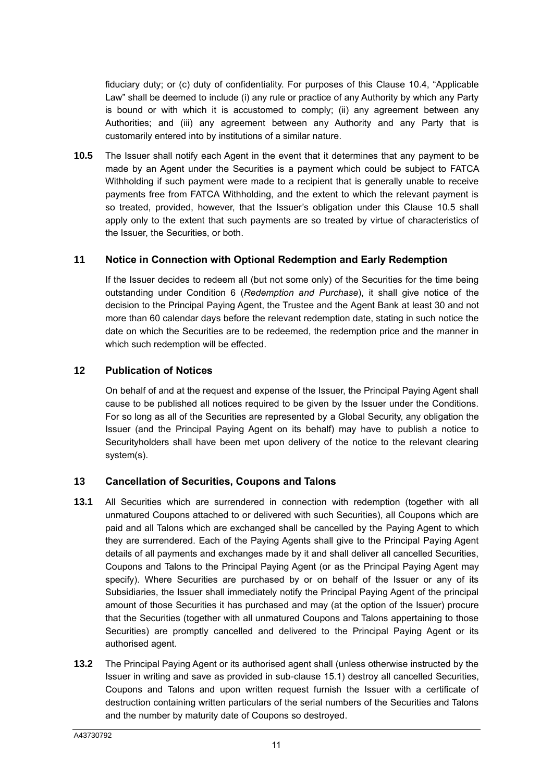fiduciary duty; or (c) duty of confidentiality. For purposes of this Clause 10.4, "Applicable Law" shall be deemed to include (i) any rule or practice of any Authority by which any Party is bound or with which it is accustomed to comply; (ii) any agreement between any Authorities; and (iii) any agreement between any Authority and any Party that is customarily entered into by institutions of a similar nature.

**10.5** The Issuer shall notify each Agent in the event that it determines that any payment to be made by an Agent under the Securities is a payment which could be subject to FATCA Withholding if such payment were made to a recipient that is generally unable to receive payments free from FATCA Withholding, and the extent to which the relevant payment is so treated, provided, however, that the Issuer's obligation under this Clause 10.5 shall apply only to the extent that such payments are so treated by virtue of characteristics of the Issuer, the Securities, or both.

#### <span id="page-11-1"></span>**11 Notice in Connection with Optional Redemption and Early Redemption**

If the Issuer decides to redeem all (but not some only) of the Securities for the time being outstanding under Condition 6 (*Redemption and Purchase*), it shall give notice of the decision to the Principal Paying Agent, the Trustee and the Agent Bank at least 30 and not more than 60 calendar days before the relevant redemption date, stating in such notice the date on which the Securities are to be redeemed, the redemption price and the manner in which such redemption will be effected.

#### **12 Publication of Notices**

On behalf of and at the request and expense of the Issuer, the Principal Paying Agent shall cause to be published all notices required to be given by the Issuer under the Conditions. For so long as all of the Securities are represented by a Global Security, any obligation the Issuer (and the Principal Paying Agent on its behalf) may have to publish a notice to Securityholders shall have been met upon delivery of the notice to the relevant clearing system(s).

# <span id="page-11-0"></span>**13 Cancellation of Securities, Coupons and Talons**

- <span id="page-11-3"></span>**13.1** All Securities which are surrendered in connection with redemption (together with all unmatured Coupons attached to or delivered with such Securities), all Coupons which are paid and all Talons which are exchanged shall be cancelled by the Paying Agent to which they are surrendered. Each of the Paying Agents shall give to the Principal Paying Agent details of all payments and exchanges made by it and shall deliver all cancelled Securities, Coupons and Talons to the Principal Paying Agent (or as the Principal Paying Agent may specify). Where Securities are purchased by or on behalf of the Issuer or any of its Subsidiaries, the Issuer shall immediately notify the Principal Paying Agent of the principal amount of those Securities it has purchased and may (at the option of the Issuer) procure that the Securities (together with all unmatured Coupons and Talons appertaining to those Securities) are promptly cancelled and delivered to the Principal Paying Agent or its authorised agent.
- <span id="page-11-2"></span>**13.2** The Principal Paying Agent or its authorised agent shall (unless otherwise instructed by the Issuer in writing and save as provided in sub-clause [15.1\)](#page-13-1) destroy all cancelled Securities, Coupons and Talons and upon written request furnish the Issuer with a certificate of destruction containing written particulars of the serial numbers of the Securities and Talons and the number by maturity date of Coupons so destroyed.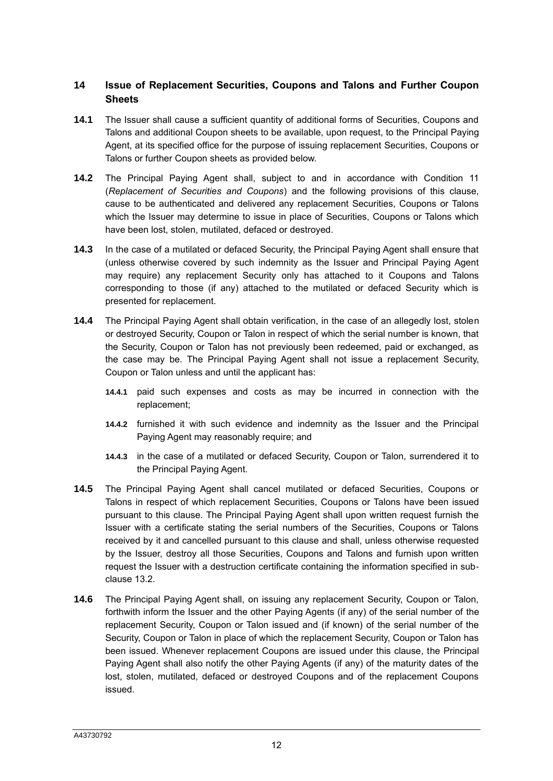# **14 Issue of Replacement Securities, Coupons and Talons and Further Coupon Sheets**

- **14.1** The Issuer shall cause a sufficient quantity of additional forms of Securities, Coupons and Talons and additional Coupon sheets to be available, upon request, to the Principal Paying Agent, at its specified office for the purpose of issuing replacement Securities, Coupons or Talons or further Coupon sheets as provided below.
- **14.2** The Principal Paying Agent shall, subject to and in accordance with Condition 11 (*Replacement of Securities and Coupons*) and the following provisions of this clause, cause to be authenticated and delivered any replacement Securities, Coupons or Talons which the Issuer may determine to issue in place of Securities, Coupons or Talons which have been lost, stolen, mutilated, defaced or destroyed.
- **14.3** In the case of a mutilated or defaced Security, the Principal Paying Agent shall ensure that (unless otherwise covered by such indemnity as the Issuer and Principal Paying Agent may require) any replacement Security only has attached to it Coupons and Talons corresponding to those (if any) attached to the mutilated or defaced Security which is presented for replacement.
- **14.4** The Principal Paying Agent shall obtain verification, in the case of an allegedly lost, stolen or destroyed Security, Coupon or Talon in respect of which the serial number is known, that the Security, Coupon or Talon has not previously been redeemed, paid or exchanged, as the case may be. The Principal Paying Agent shall not issue a replacement Security, Coupon or Talon unless and until the applicant has:
	- **14.4.1** paid such expenses and costs as may be incurred in connection with the replacement;
	- **14.4.2** furnished it with such evidence and indemnity as the Issuer and the Principal Paying Agent may reasonably require; and
	- **14.4.3** in the case of a mutilated or defaced Security, Coupon or Talon, surrendered it to the Principal Paying Agent.
- **14.5** The Principal Paying Agent shall cancel mutilated or defaced Securities, Coupons or Talons in respect of which replacement Securities, Coupons or Talons have been issued pursuant to this clause. The Principal Paying Agent shall upon written request furnish the Issuer with a certificate stating the serial numbers of the Securities, Coupons or Talons received by it and cancelled pursuant to this clause and shall, unless otherwise requested by the Issuer, destroy all those Securities, Coupons and Talons and furnish upon written request the Issuer with a destruction certificate containing the information specified in subclause [13.2.](#page-11-2)
- **14.6** The Principal Paying Agent shall, on issuing any replacement Security, Coupon or Talon, forthwith inform the Issuer and the other Paying Agents (if any) of the serial number of the replacement Security, Coupon or Talon issued and (if known) of the serial number of the Security, Coupon or Talon in place of which the replacement Security, Coupon or Talon has been issued. Whenever replacement Coupons are issued under this clause, the Principal Paying Agent shall also notify the other Paying Agents (if any) of the maturity dates of the lost, stolen, mutilated, defaced or destroyed Coupons and of the replacement Coupons issued.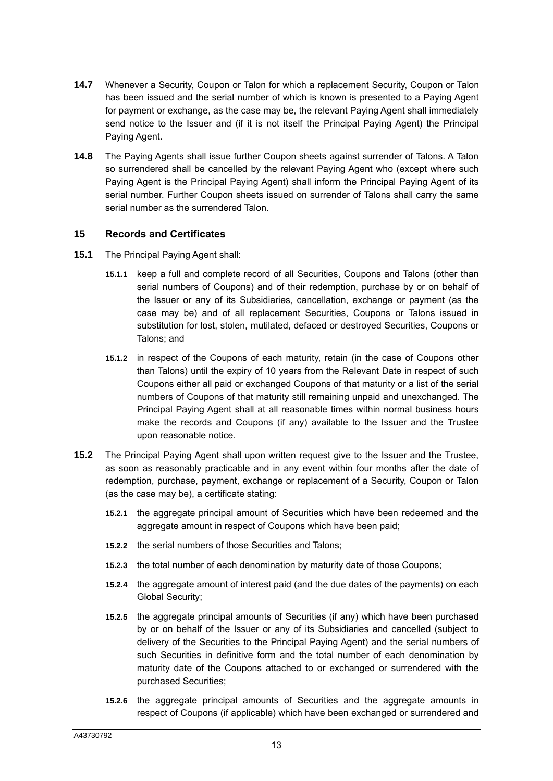- **14.7** Whenever a Security, Coupon or Talon for which a replacement Security, Coupon or Talon has been issued and the serial number of which is known is presented to a Paying Agent for payment or exchange, as the case may be, the relevant Paying Agent shall immediately send notice to the Issuer and (if it is not itself the Principal Paying Agent) the Principal Paying Agent.
- **14.8** The Paying Agents shall issue further Coupon sheets against surrender of Talons. A Talon so surrendered shall be cancelled by the relevant Paying Agent who (except where such Paying Agent is the Principal Paying Agent) shall inform the Principal Paying Agent of its serial number. Further Coupon sheets issued on surrender of Talons shall carry the same serial number as the surrendered Talon.

#### <span id="page-13-0"></span>**15 Records and Certificates**

- <span id="page-13-1"></span>**15.1** The Principal Paying Agent shall:
	- **15.1.1** keep a full and complete record of all Securities, Coupons and Talons (other than serial numbers of Coupons) and of their redemption, purchase by or on behalf of the Issuer or any of its Subsidiaries, cancellation, exchange or payment (as the case may be) and of all replacement Securities, Coupons or Talons issued in substitution for lost, stolen, mutilated, defaced or destroyed Securities, Coupons or Talons; and
	- **15.1.2** in respect of the Coupons of each maturity, retain (in the case of Coupons other than Talons) until the expiry of 10 years from the Relevant Date in respect of such Coupons either all paid or exchanged Coupons of that maturity or a list of the serial numbers of Coupons of that maturity still remaining unpaid and unexchanged. The Principal Paying Agent shall at all reasonable times within normal business hours make the records and Coupons (if any) available to the Issuer and the Trustee upon reasonable notice.
- **15.2** The Principal Paying Agent shall upon written request give to the Issuer and the Trustee, as soon as reasonably practicable and in any event within four months after the date of redemption, purchase, payment, exchange or replacement of a Security, Coupon or Talon (as the case may be), a certificate stating:
	- **15.2.1** the aggregate principal amount of Securities which have been redeemed and the aggregate amount in respect of Coupons which have been paid;
	- **15.2.2** the serial numbers of those Securities and Talons;
	- **15.2.3** the total number of each denomination by maturity date of those Coupons;
	- **15.2.4** the aggregate amount of interest paid (and the due dates of the payments) on each Global Security;
	- **15.2.5** the aggregate principal amounts of Securities (if any) which have been purchased by or on behalf of the Issuer or any of its Subsidiaries and cancelled (subject to delivery of the Securities to the Principal Paying Agent) and the serial numbers of such Securities in definitive form and the total number of each denomination by maturity date of the Coupons attached to or exchanged or surrendered with the purchased Securities;
	- **15.2.6** the aggregate principal amounts of Securities and the aggregate amounts in respect of Coupons (if applicable) which have been exchanged or surrendered and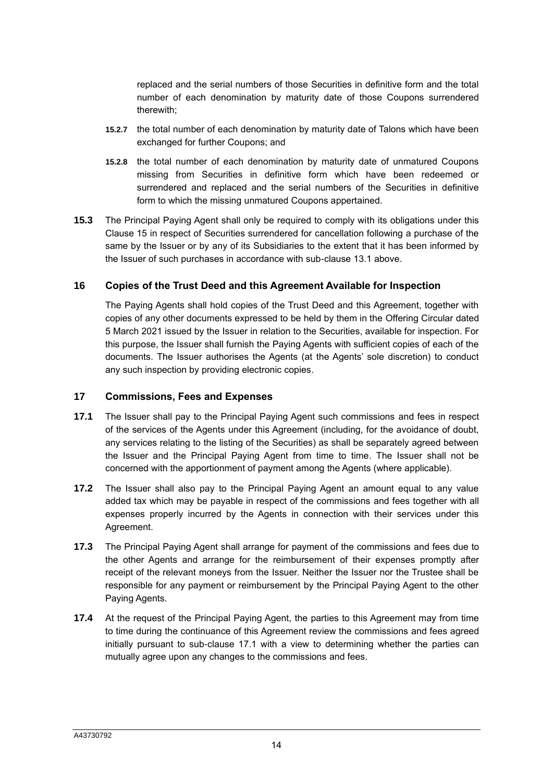replaced and the serial numbers of those Securities in definitive form and the total number of each denomination by maturity date of those Coupons surrendered therewith;

- **15.2.7** the total number of each denomination by maturity date of Talons which have been exchanged for further Coupons; and
- **15.2.8** the total number of each denomination by maturity date of unmatured Coupons missing from Securities in definitive form which have been redeemed or surrendered and replaced and the serial numbers of the Securities in definitive form to which the missing unmatured Coupons appertained.
- **15.3** The Principal Paying Agent shall only be required to comply with its obligations under this Clause [15](#page-13-0) in respect of Securities surrendered for cancellation following a purchase of the same by the Issuer or by any of its Subsidiaries to the extent that it has been informed by the Issuer of such purchases in accordance with sub-clause [13.1](#page-11-3) above.

#### **16 Copies of the Trust Deed and this Agreement Available for Inspection**

The Paying Agents shall hold copies of the Trust Deed and this Agreement, together with copies of any other documents expressed to be held by them in the Offering Circular dated 5 March 2021 issued by the Issuer in relation to the Securities, available for inspection. For this purpose, the Issuer shall furnish the Paying Agents with sufficient copies of each of the documents. The Issuer authorises the Agents (at the Agents' sole discretion) to conduct any such inspection by providing electronic copies.

#### **17 Commissions, Fees and Expenses**

- <span id="page-14-0"></span>**17.1** The Issuer shall pay to the Principal Paying Agent such commissions and fees in respect of the services of the Agents under this Agreement (including, for the avoidance of doubt, any services relating to the listing of the Securities) as shall be separately agreed between the Issuer and the Principal Paying Agent from time to time. The Issuer shall not be concerned with the apportionment of payment among the Agents (where applicable).
- **17.2** The Issuer shall also pay to the Principal Paying Agent an amount equal to any value added tax which may be payable in respect of the commissions and fees together with all expenses properly incurred by the Agents in connection with their services under this Agreement.
- **17.3** The Principal Paying Agent shall arrange for payment of the commissions and fees due to the other Agents and arrange for the reimbursement of their expenses promptly after receipt of the relevant moneys from the Issuer. Neither the Issuer nor the Trustee shall be responsible for any payment or reimbursement by the Principal Paying Agent to the other Paying Agents.
- **17.4** At the request of the Principal Paying Agent, the parties to this Agreement may from time to time during the continuance of this Agreement review the commissions and fees agreed initially pursuant to sub-clause [17.1](#page-14-0) with a view to determining whether the parties can mutually agree upon any changes to the commissions and fees.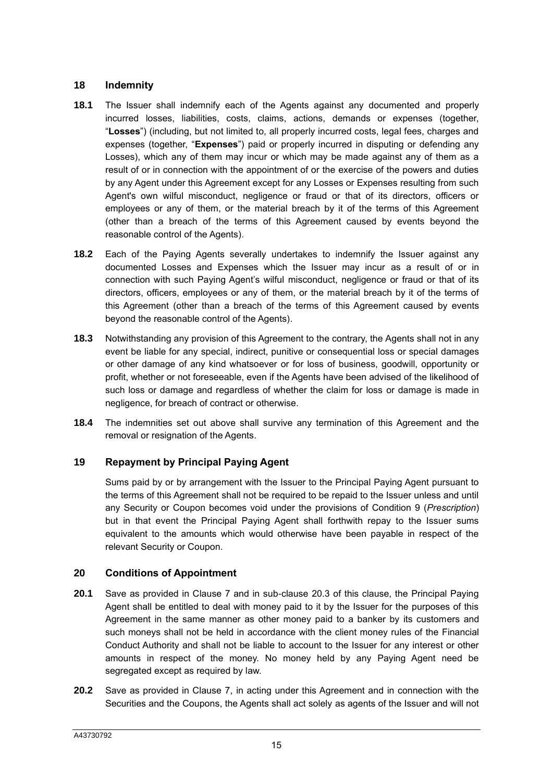## **18 Indemnity**

- **18.1** The Issuer shall indemnify each of the Agents against any documented and properly incurred losses, liabilities, costs, claims, actions, demands or expenses (together, "**Losses**") (including, but not limited to, all properly incurred costs, legal fees, charges and expenses (together, "**Expenses**") paid or properly incurred in disputing or defending any Losses), which any of them may incur or which may be made against any of them as a result of or in connection with the appointment of or the exercise of the powers and duties by any Agent under this Agreement except for any Losses or Expenses resulting from such Agent's own wilful misconduct, negligence or fraud or that of its directors, officers or employees or any of them, or the material breach by it of the terms of this Agreement (other than a breach of the terms of this Agreement caused by events beyond the reasonable control of the Agents).
- **18.2** Each of the Paying Agents severally undertakes to indemnify the Issuer against any documented Losses and Expenses which the Issuer may incur as a result of or in connection with such Paying Agent's wilful misconduct, negligence or fraud or that of its directors, officers, employees or any of them, or the material breach by it of the terms of this Agreement (other than a breach of the terms of this Agreement caused by events beyond the reasonable control of the Agents).
- **18.3** Notwithstanding any provision of this Agreement to the contrary, the Agents shall not in any event be liable for any special, indirect, punitive or consequential loss or special damages or other damage of any kind whatsoever or for loss of business, goodwill, opportunity or profit, whether or not foreseeable, even if the Agents have been advised of the likelihood of such loss or damage and regardless of whether the claim for loss or damage is made in negligence, for breach of contract or otherwise.
- **18.4** The indemnities set out above shall survive any termination of this Agreement and the removal or resignation of the Agents.

#### **19 Repayment by Principal Paying Agent**

Sums paid by or by arrangement with the Issuer to the Principal Paying Agent pursuant to the terms of this Agreement shall not be required to be repaid to the Issuer unless and until any Security or Coupon becomes void under the provisions of Condition 9 (*Prescription*) but in that event the Principal Paying Agent shall forthwith repay to the Issuer sums equivalent to the amounts which would otherwise have been payable in respect of the relevant Security or Coupon.

#### **20 Conditions of Appointment**

- **20.1** Save as provided in Clause 7 and in sub-clause 20.3 of this clause, the Principal Paying Agent shall be entitled to deal with money paid to it by the Issuer for the purposes of this Agreement in the same manner as other money paid to a banker by its customers and such moneys shall not be held in accordance with the client money rules of the Financial Conduct Authority and shall not be liable to account to the Issuer for any interest or other amounts in respect of the money. No money held by any Paying Agent need be segregated except as required by law.
- **20.2** Save as provided in Clause [7,](#page-7-0) in acting under this Agreement and in connection with the Securities and the Coupons, the Agents shall act solely as agents of the Issuer and will not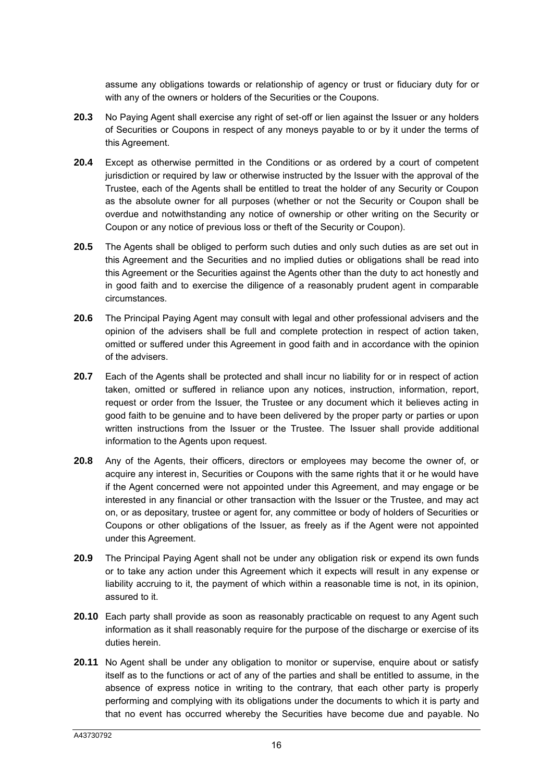assume any obligations towards or relationship of agency or trust or fiduciary duty for or with any of the owners or holders of the Securities or the Coupons.

- **20.3** No Paying Agent shall exercise any right of set-off or lien against the Issuer or any holders of Securities or Coupons in respect of any moneys payable to or by it under the terms of this Agreement.
- **20.4** Except as otherwise permitted in the Conditions or as ordered by a court of competent jurisdiction or required by law or otherwise instructed by the Issuer with the approval of the Trustee, each of the Agents shall be entitled to treat the holder of any Security or Coupon as the absolute owner for all purposes (whether or not the Security or Coupon shall be overdue and notwithstanding any notice of ownership or other writing on the Security or Coupon or any notice of previous loss or theft of the Security or Coupon).
- **20.5** The Agents shall be obliged to perform such duties and only such duties as are set out in this Agreement and the Securities and no implied duties or obligations shall be read into this Agreement or the Securities against the Agents other than the duty to act honestly and in good faith and to exercise the diligence of a reasonably prudent agent in comparable circumstances.
- **20.6** The Principal Paying Agent may consult with legal and other professional advisers and the opinion of the advisers shall be full and complete protection in respect of action taken, omitted or suffered under this Agreement in good faith and in accordance with the opinion of the advisers.
- **20.7** Each of the Agents shall be protected and shall incur no liability for or in respect of action taken, omitted or suffered in reliance upon any notices, instruction, information, report, request or order from the Issuer, the Trustee or any document which it believes acting in good faith to be genuine and to have been delivered by the proper party or parties or upon written instructions from the Issuer or the Trustee. The Issuer shall provide additional information to the Agents upon request.
- **20.8** Any of the Agents, their officers, directors or employees may become the owner of, or acquire any interest in, Securities or Coupons with the same rights that it or he would have if the Agent concerned were not appointed under this Agreement, and may engage or be interested in any financial or other transaction with the Issuer or the Trustee, and may act on, or as depositary, trustee or agent for, any committee or body of holders of Securities or Coupons or other obligations of the Issuer, as freely as if the Agent were not appointed under this Agreement.
- **20.9** The Principal Paying Agent shall not be under any obligation risk or expend its own funds or to take any action under this Agreement which it expects will result in any expense or liability accruing to it, the payment of which within a reasonable time is not, in its opinion, assured to it.
- **20.10** Each party shall provide as soon as reasonably practicable on request to any Agent such information as it shall reasonably require for the purpose of the discharge or exercise of its duties herein.
- **20.11** No Agent shall be under any obligation to monitor or supervise, enquire about or satisfy itself as to the functions or act of any of the parties and shall be entitled to assume, in the absence of express notice in writing to the contrary, that each other party is properly performing and complying with its obligations under the documents to which it is party and that no event has occurred whereby the Securities have become due and payable. No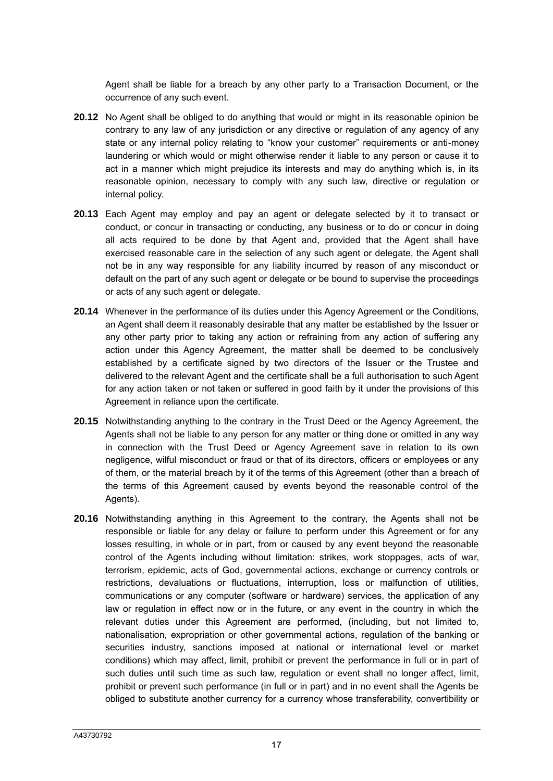Agent shall be liable for a breach by any other party to a Transaction Document, or the occurrence of any such event.

- **20.12** No Agent shall be obliged to do anything that would or might in its reasonable opinion be contrary to any law of any jurisdiction or any directive or regulation of any agency of any state or any internal policy relating to "know your customer" requirements or anti-money laundering or which would or might otherwise render it liable to any person or cause it to act in a manner which might prejudice its interests and may do anything which is, in its reasonable opinion, necessary to comply with any such law, directive or regulation or internal policy.
- **20.13** Each Agent may employ and pay an agent or delegate selected by it to transact or conduct, or concur in transacting or conducting, any business or to do or concur in doing all acts required to be done by that Agent and, provided that the Agent shall have exercised reasonable care in the selection of any such agent or delegate, the Agent shall not be in any way responsible for any liability incurred by reason of any misconduct or default on the part of any such agent or delegate or be bound to supervise the proceedings or acts of any such agent or delegate.
- **20.14** Whenever in the performance of its duties under this Agency Agreement or the Conditions, an Agent shall deem it reasonably desirable that any matter be established by the Issuer or any other party prior to taking any action or refraining from any action of suffering any action under this Agency Agreement, the matter shall be deemed to be conclusively established by a certificate signed by two directors of the Issuer or the Trustee and delivered to the relevant Agent and the certificate shall be a full authorisation to such Agent for any action taken or not taken or suffered in good faith by it under the provisions of this Agreement in reliance upon the certificate.
- **20.15** Notwithstanding anything to the contrary in the Trust Deed or the Agency Agreement, the Agents shall not be liable to any person for any matter or thing done or omitted in any way in connection with the Trust Deed or Agency Agreement save in relation to its own negligence, wilful misconduct or fraud or that of its directors, officers or employees or any of them, or the material breach by it of the terms of this Agreement (other than a breach of the terms of this Agreement caused by events beyond the reasonable control of the Agents).
- **20.16** Notwithstanding anything in this Agreement to the contrary, the Agents shall not be responsible or liable for any delay or failure to perform under this Agreement or for any losses resulting, in whole or in part, from or caused by any event beyond the reasonable control of the Agents including without limitation: strikes, work stoppages, acts of war, terrorism, epidemic, acts of God, governmental actions, exchange or currency controls or restrictions, devaluations or fluctuations, interruption, loss or malfunction of utilities, communications or any computer (software or hardware) services, the application of any law or regulation in effect now or in the future, or any event in the country in which the relevant duties under this Agreement are performed, (including, but not limited to, nationalisation, expropriation or other governmental actions, regulation of the banking or securities industry, sanctions imposed at national or international level or market conditions) which may affect, limit, prohibit or prevent the performance in full or in part of such duties until such time as such law, regulation or event shall no longer affect, limit, prohibit or prevent such performance (in full or in part) and in no event shall the Agents be obliged to substitute another currency for a currency whose transferability, convertibility or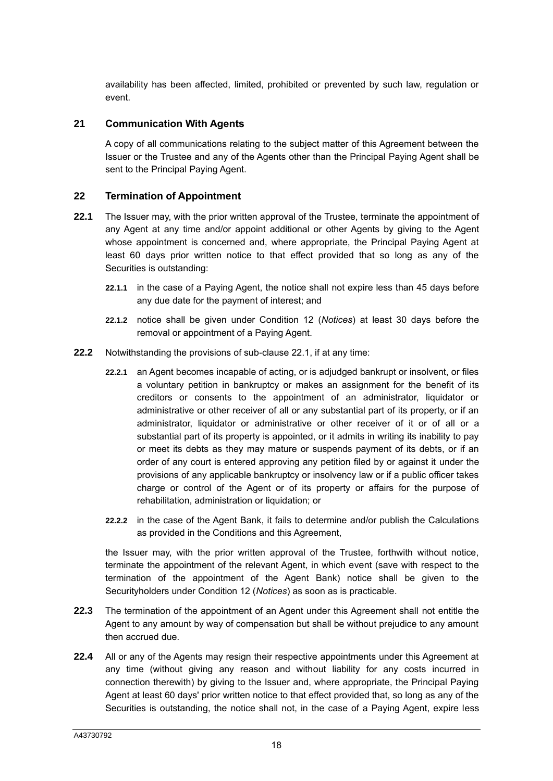availability has been affected, limited, prohibited or prevented by such law, regulation or event.

#### **21 Communication With Agents**

A copy of all communications relating to the subject matter of this Agreement between the Issuer or the Trustee and any of the Agents other than the Principal Paying Agent shall be sent to the Principal Paying Agent.

#### <span id="page-18-3"></span>**22 Termination of Appointment**

- <span id="page-18-0"></span>**22.1** The Issuer may, with the prior written approval of the Trustee, terminate the appointment of any Agent at any time and/or appoint additional or other Agents by giving to the Agent whose appointment is concerned and, where appropriate, the Principal Paying Agent at least 60 days prior written notice to that effect provided that so long as any of the Securities is outstanding:
	- **22.1.1** in the case of a Paying Agent, the notice shall not expire less than 45 days before any due date for the payment of interest; and
	- **22.1.2** notice shall be given under Condition 12 (*Notices*) at least 30 days before the removal or appointment of a Paying Agent.
- <span id="page-18-1"></span>**22.2** Notwithstanding the provisions of sub-clause [22.1,](#page-18-0) if at any time:
	- **22.2.1** an Agent becomes incapable of acting, or is adjudged bankrupt or insolvent, or files a voluntary petition in bankruptcy or makes an assignment for the benefit of its creditors or consents to the appointment of an administrator, liquidator or administrative or other receiver of all or any substantial part of its property, or if an administrator, liquidator or administrative or other receiver of it or of all or a substantial part of its property is appointed, or it admits in writing its inability to pay or meet its debts as they may mature or suspends payment of its debts, or if an order of any court is entered approving any petition filed by or against it under the provisions of any applicable bankruptcy or insolvency law or if a public officer takes charge or control of the Agent or of its property or affairs for the purpose of rehabilitation, administration or liquidation; or
	- **22.2.2** in the case of the Agent Bank, it fails to determine and/or publish the Calculations as provided in the Conditions and this Agreement,

the Issuer may, with the prior written approval of the Trustee, forthwith without notice, terminate the appointment of the relevant Agent, in which event (save with respect to the termination of the appointment of the Agent Bank) notice shall be given to the Securityholders under Condition 12 (*Notices*) as soon as is practicable.

- **22.3** The termination of the appointment of an Agent under this Agreement shall not entitle the Agent to any amount by way of compensation but shall be without prejudice to any amount then accrued due.
- <span id="page-18-2"></span>**22.4** All or any of the Agents may resign their respective appointments under this Agreement at any time (without giving any reason and without liability for any costs incurred in connection therewith) by giving to the Issuer and, where appropriate, the Principal Paying Agent at least 60 days' prior written notice to that effect provided that, so long as any of the Securities is outstanding, the notice shall not, in the case of a Paying Agent, expire less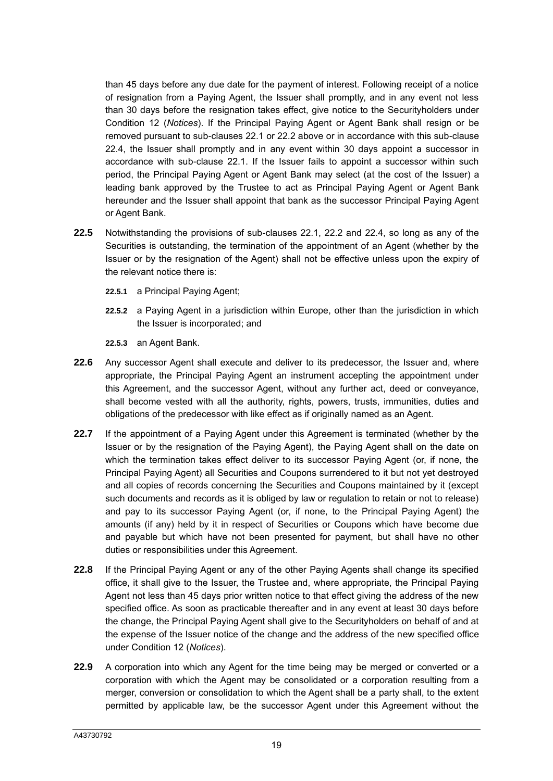than 45 days before any due date for the payment of interest. Following receipt of a notice of resignation from a Paying Agent, the Issuer shall promptly, and in any event not less than 30 days before the resignation takes effect, give notice to the Securityholders under Condition 12 (*Notices*). If the Principal Paying Agent or Agent Bank shall resign or be removed pursuant to sub-clauses [22.1](#page-18-0) or [22.2](#page-18-1) above or in accordance with this sub-clause [22.4,](#page-18-2) the Issuer shall promptly and in any event within 30 days appoint a successor in accordance with sub-clause [22.1.](#page-18-0) If the Issuer fails to appoint a successor within such period, the Principal Paying Agent or Agent Bank may select (at the cost of the Issuer) a leading bank approved by the Trustee to act as Principal Paying Agent or Agent Bank hereunder and the Issuer shall appoint that bank as the successor Principal Paying Agent or Agent Bank.

- **22.5** Notwithstanding the provisions of sub-clauses [22.1,](#page-18-0) [22.2](#page-18-1) and [22.4,](#page-18-2) so long as any of the Securities is outstanding, the termination of the appointment of an Agent (whether by the Issuer or by the resignation of the Agent) shall not be effective unless upon the expiry of the relevant notice there is:
	- **22.5.1** a Principal Paying Agent;
	- **22.5.2** a Paying Agent in a jurisdiction within Europe, other than the jurisdiction in which the Issuer is incorporated; and
	- **22.5.3** an Agent Bank.
- **22.6** Any successor Agent shall execute and deliver to its predecessor, the Issuer and, where appropriate, the Principal Paying Agent an instrument accepting the appointment under this Agreement, and the successor Agent, without any further act, deed or conveyance, shall become vested with all the authority, rights, powers, trusts, immunities, duties and obligations of the predecessor with like effect as if originally named as an Agent.
- **22.7** If the appointment of a Paying Agent under this Agreement is terminated (whether by the Issuer or by the resignation of the Paying Agent), the Paying Agent shall on the date on which the termination takes effect deliver to its successor Paying Agent (or, if none, the Principal Paying Agent) all Securities and Coupons surrendered to it but not yet destroyed and all copies of records concerning the Securities and Coupons maintained by it (except such documents and records as it is obliged by law or regulation to retain or not to release) and pay to its successor Paying Agent (or, if none, to the Principal Paying Agent) the amounts (if any) held by it in respect of Securities or Coupons which have become due and payable but which have not been presented for payment, but shall have no other duties or responsibilities under this Agreement.
- **22.8** If the Principal Paying Agent or any of the other Paying Agents shall change its specified office, it shall give to the Issuer, the Trustee and, where appropriate, the Principal Paying Agent not less than 45 days prior written notice to that effect giving the address of the new specified office. As soon as practicable thereafter and in any event at least 30 days before the change, the Principal Paying Agent shall give to the Securityholders on behalf of and at the expense of the Issuer notice of the change and the address of the new specified office under Condition 12 (*Notices*).
- **22.9** A corporation into which any Agent for the time being may be merged or converted or a corporation with which the Agent may be consolidated or a corporation resulting from a merger, conversion or consolidation to which the Agent shall be a party shall, to the extent permitted by applicable law, be the successor Agent under this Agreement without the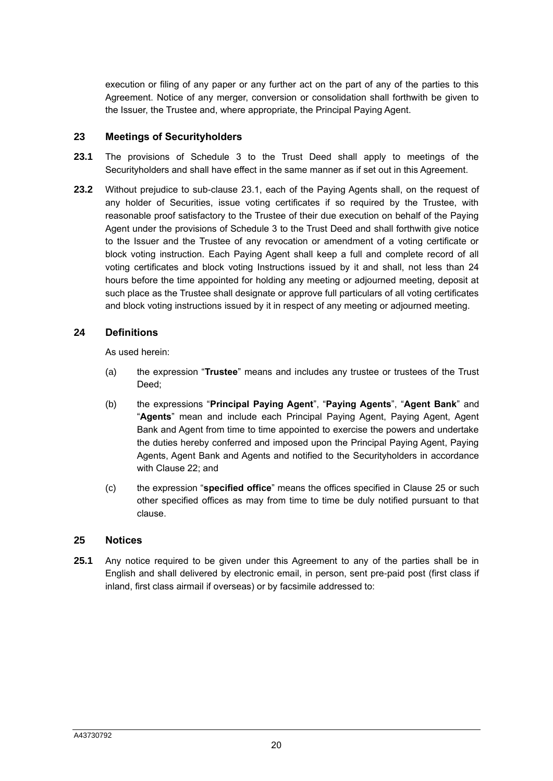execution or filing of any paper or any further act on the part of any of the parties to this Agreement. Notice of any merger, conversion or consolidation shall forthwith be given to the Issuer, the Trustee and, where appropriate, the Principal Paying Agent.

#### **23 Meetings of Securityholders**

- <span id="page-20-0"></span>**23.1** The provisions of Schedule 3 to the Trust Deed shall apply to meetings of the Securityholders and shall have effect in the same manner as if set out in this Agreement.
- **23.2** Without prejudice to sub-clause [23.1,](#page-20-0) each of the Paying Agents shall, on the request of any holder of Securities, issue voting certificates if so required by the Trustee, with reasonable proof satisfactory to the Trustee of their due execution on behalf of the Paying Agent under the provisions of Schedule 3 to the Trust Deed and shall forthwith give notice to the Issuer and the Trustee of any revocation or amendment of a voting certificate or block voting instruction. Each Paying Agent shall keep a full and complete record of all voting certificates and block voting Instructions issued by it and shall, not less than 24 hours before the time appointed for holding any meeting or adjourned meeting, deposit at such place as the Trustee shall designate or approve full particulars of all voting certificates and block voting instructions issued by it in respect of any meeting or adjourned meeting.

#### **24 Definitions**

As used herein:

- (a) the expression "**Trustee**" means and includes any trustee or trustees of the Trust Deed;
- (b) the expressions "**Principal Paying Agent**", "**Paying Agents**", "**Agent Bank**" and "**Agents**" mean and include each Principal Paying Agent, Paying Agent, Agent Bank and Agent from time to time appointed to exercise the powers and undertake the duties hereby conferred and imposed upon the Principal Paying Agent, Paying Agents, Agent Bank and Agents and notified to the Securityholders in accordance with Clause [22;](#page-18-3) and
- (c) the expression "**specified office**" means the offices specified in Clause [25](#page-20-1) or such other specified offices as may from time to time be duly notified pursuant to that clause.

#### <span id="page-20-1"></span>**25 Notices**

**25.1** Any notice required to be given under this Agreement to any of the parties shall be in English and shall delivered by electronic email, in person, sent pre-paid post (first class if inland, first class airmail if overseas) or by facsimile addressed to: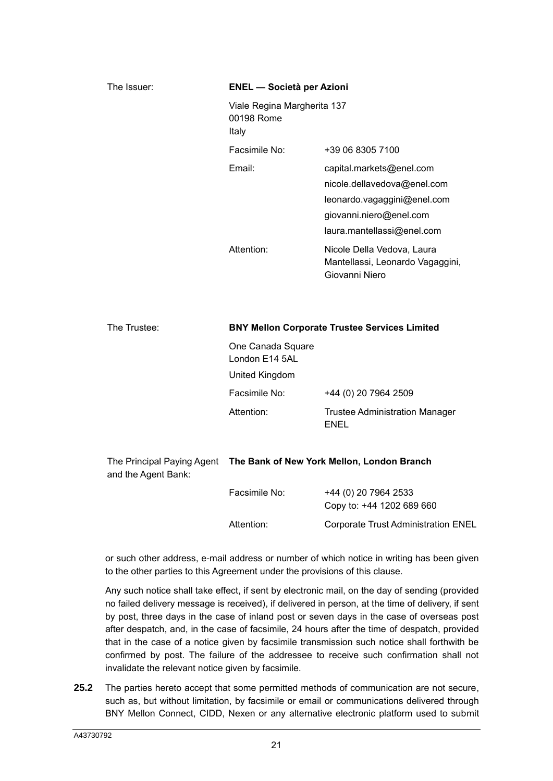| The Issuer: | <b>ENEL</b> - Società per Azioni                   |                                                                                                                                                 |
|-------------|----------------------------------------------------|-------------------------------------------------------------------------------------------------------------------------------------------------|
|             | Viale Regina Margherita 137<br>00198 Rome<br>Italy |                                                                                                                                                 |
|             | Facsimile No:                                      | +39 06 8305 7100                                                                                                                                |
|             | Email:                                             | capital.markets@enel.com<br>nicole.dellavedova@enel.com<br>leonardo.vagaggini@enel.com<br>giovanni.niero@enel.com<br>laura.mantellassi@enel.com |
|             | Attention:                                         | Nicole Della Vedova, Laura<br>Mantellassi, Leonardo Vagaggini,<br>Giovanni Niero                                                                |
|             |                                                    |                                                                                                                                                 |

| The Trustee: | <b>BNY Mellon Corporate Trustee Services Limited</b>  |                                                      |  |
|--------------|-------------------------------------------------------|------------------------------------------------------|--|
|              | One Canada Square<br>London E14 5AL<br>United Kingdom |                                                      |  |
|              | Facsimile No:                                         | +44 (0) 20 7964 2509                                 |  |
|              | Attention:                                            | <b>Trustee Administration Manager</b><br><b>ENEL</b> |  |

| and the Agent Bank: | The Principal Paying Agent The Bank of New York Mellon, London Branch |                                                   |
|---------------------|-----------------------------------------------------------------------|---------------------------------------------------|
|                     | Facsimile No:                                                         | +44 (0) 20 7964 2533<br>Copy to: +44 1202 689 660 |
|                     | Attention:                                                            | <b>Corporate Trust Administration ENEL</b>        |

or such other address, e-mail address or number of which notice in writing has been given to the other parties to this Agreement under the provisions of this clause.

Any such notice shall take effect, if sent by electronic mail, on the day of sending (provided no failed delivery message is received), if delivered in person, at the time of delivery, if sent by post, three days in the case of inland post or seven days in the case of overseas post after despatch, and, in the case of facsimile, 24 hours after the time of despatch, provided that in the case of a notice given by facsimile transmission such notice shall forthwith be confirmed by post. The failure of the addressee to receive such confirmation shall not invalidate the relevant notice given by facsimile.

**25.2** The parties hereto accept that some permitted methods of communication are not secure, such as, but without limitation, by facsimile or email or communications delivered through BNY Mellon Connect, CIDD, Nexen or any alternative electronic platform used to submit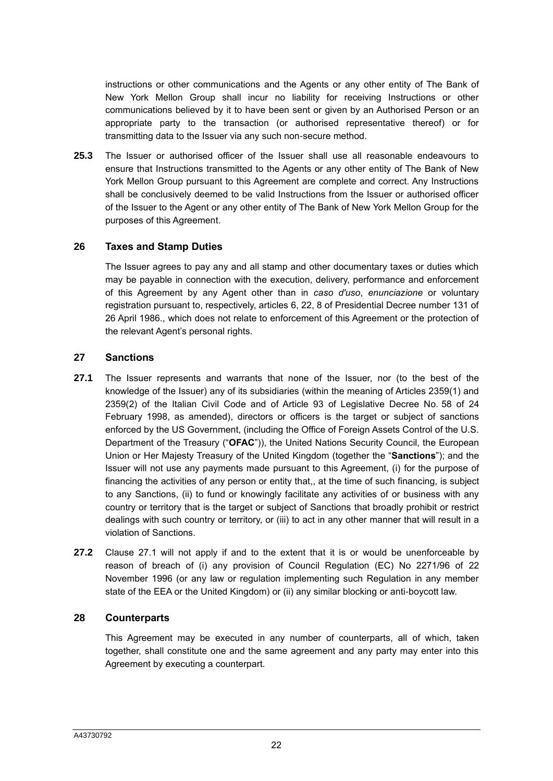instructions or other communications and the Agents or any other entity of The Bank of New York Mellon Group shall incur no liability for receiving Instructions or other communications believed by it to have been sent or given by an Authorised Person or an appropriate party to the transaction (or authorised representative thereof) or for transmitting data to the Issuer via any such non-secure method.

**25.3** The Issuer or authorised officer of the Issuer shall use all reasonable endeavours to ensure that Instructions transmitted to the Agents or any other entity of The Bank of New York Mellon Group pursuant to this Agreement are complete and correct. Any Instructions shall be conclusively deemed to be valid Instructions from the Issuer or authorised officer of the Issuer to the Agent or any other entity of The Bank of New York Mellon Group for the purposes of this Agreement.

#### **26 Taxes and Stamp Duties**

The Issuer agrees to pay any and all stamp and other documentary taxes or duties which may be payable in connection with the execution, delivery, performance and enforcement of this Agreement by any Agent other than in *caso d'uso*, *enunciazione* or voluntary registration pursuant to, respectively, articles 6, 22, 8 of Presidential Decree number 131 of 26 April 1986., which does not relate to enforcement of this Agreement or the protection of the relevant Agent's personal rights.

#### **27 Sanctions**

- **27.1** The Issuer represents and warrants that none of the Issuer, nor (to the best of the knowledge of the Issuer) any of its subsidiaries (within the meaning of Articles 2359(1) and 2359(2) of the Italian Civil Code and of Article 93 of Legislative Decree No. 58 of 24 February 1998, as amended), directors or officers is the target or subject of sanctions enforced by the US Government, (including the Office of Foreign Assets Control of the U.S. Department of the Treasury ("**OFAC**")), the United Nations Security Council, the European Union or Her Majesty Treasury of the United Kingdom (together the "**Sanctions**"); and the Issuer will not use any payments made pursuant to this Agreement, (i) for the purpose of financing the activities of any person or entity that,, at the time of such financing, is subject to any Sanctions, (ii) to fund or knowingly facilitate any activities of or business with any country or territory that is the target or subject of Sanctions that broadly prohibit or restrict dealings with such country or territory, or (iii) to act in any other manner that will result in a violation of Sanctions.
- **27.2** Clause 27.1 will not apply if and to the extent that it is or would be unenforceable by reason of breach of (i) any provision of Council Regulation (EC) No 2271/96 of 22 November 1996 (or any law or regulation implementing such Regulation in any member state of the EEA or the United Kingdom) or (ii) any similar blocking or anti-boycott law.

#### **28 Counterparts**

This Agreement may be executed in any number of counterparts, all of which, taken together, shall constitute one and the same agreement and any party may enter into this Agreement by executing a counterpart.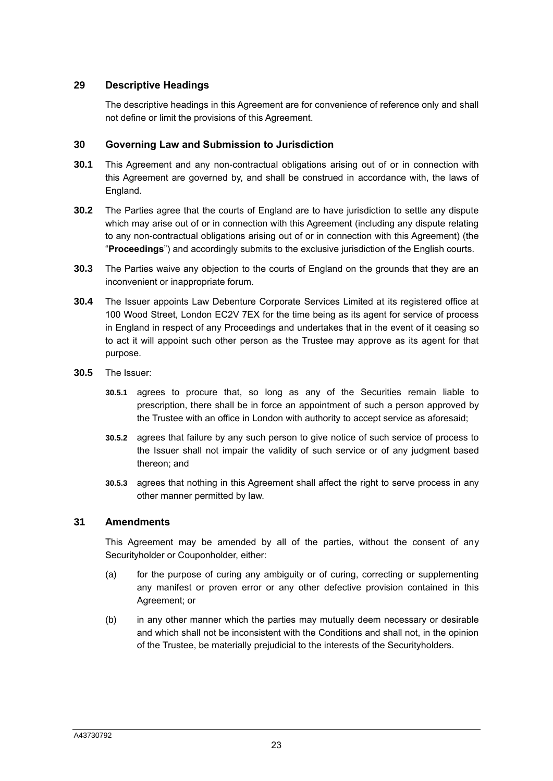#### **29 Descriptive Headings**

The descriptive headings in this Agreement are for convenience of reference only and shall not define or limit the provisions of this Agreement.

#### **30 Governing Law and Submission to Jurisdiction**

- **30.1** This Agreement and any non-contractual obligations arising out of or in connection with this Agreement are governed by, and shall be construed in accordance with, the laws of England.
- **30.2** The Parties agree that the courts of England are to have jurisdiction to settle any dispute which may arise out of or in connection with this Agreement (including any dispute relating to any non-contractual obligations arising out of or in connection with this Agreement) (the "**Proceedings**") and accordingly submits to the exclusive jurisdiction of the English courts.
- **30.3** The Parties waive any objection to the courts of England on the grounds that they are an inconvenient or inappropriate forum.
- **30.4** The Issuer appoints Law Debenture Corporate Services Limited at its registered office at 100 Wood Street, London EC2V 7EX for the time being as its agent for service of process in England in respect of any Proceedings and undertakes that in the event of it ceasing so to act it will appoint such other person as the Trustee may approve as its agent for that purpose.
- **30.5** The Issuer:
	- **30.5.1** agrees to procure that, so long as any of the Securities remain liable to prescription, there shall be in force an appointment of such a person approved by the Trustee with an office in London with authority to accept service as aforesaid;
	- **30.5.2** agrees that failure by any such person to give notice of such service of process to the Issuer shall not impair the validity of such service or of any judgment based thereon; and
	- **30.5.3** agrees that nothing in this Agreement shall affect the right to serve process in any other manner permitted by law.

#### **31 Amendments**

This Agreement may be amended by all of the parties, without the consent of any Securityholder or Couponholder, either:

- (a) for the purpose of curing any ambiguity or of curing, correcting or supplementing any manifest or proven error or any other defective provision contained in this Agreement; or
- (b) in any other manner which the parties may mutually deem necessary or desirable and which shall not be inconsistent with the Conditions and shall not, in the opinion of the Trustee, be materially prejudicial to the interests of the Securityholders.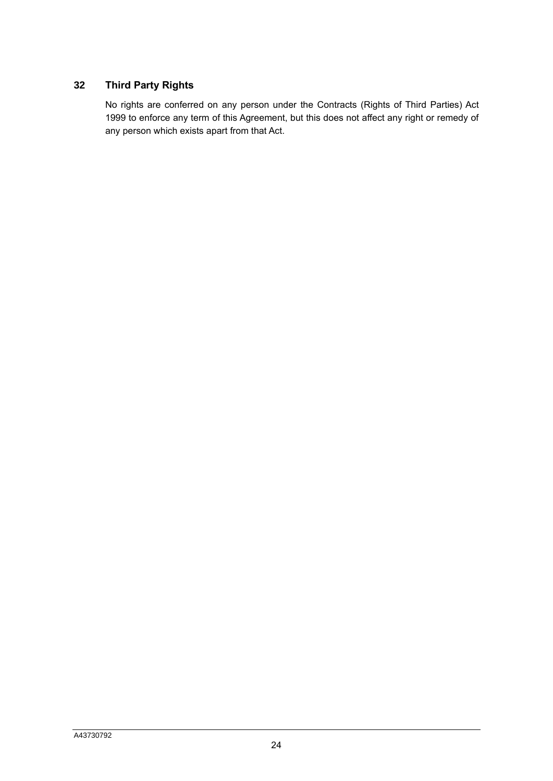# **32 Third Party Rights**

No rights are conferred on any person under the Contracts (Rights of Third Parties) Act 1999 to enforce any term of this Agreement, but this does not affect any right or remedy of any person which exists apart from that Act.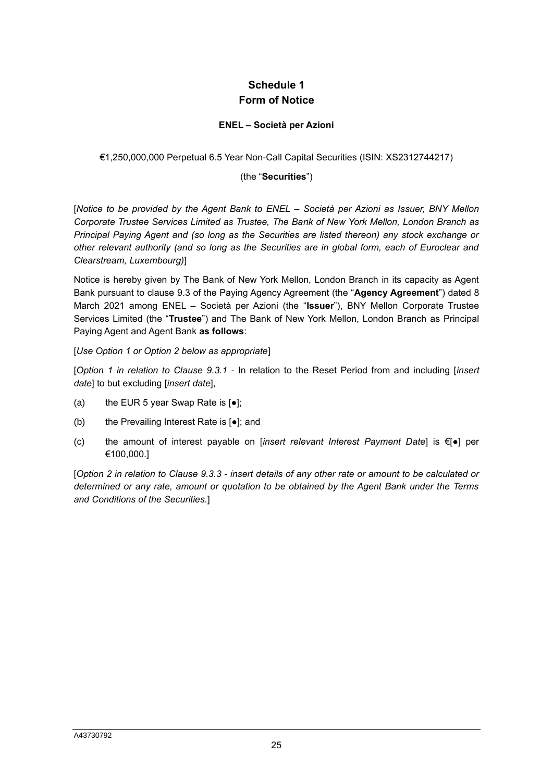# **Schedule 1 Form of Notice**

#### **ENEL – Società per Azioni**

<span id="page-25-0"></span>€1,250,000,000 Perpetual 6.5 Year Non-Call Capital Securities (ISIN: XS2312744217)

#### (the "**Securities**")

[*Notice to be provided by the Agent Bank to ENEL – Società per Azioni as Issuer, BNY Mellon Corporate Trustee Services Limited as Trustee, The Bank of New York Mellon, London Branch as Principal Paying Agent and (so long as the Securities are listed thereon) any stock exchange or other relevant authority (and so long as the Securities are in global form, each of Euroclear and Clearstream, Luxembourg)*]

Notice is hereby given by The Bank of New York Mellon, London Branch in its capacity as Agent Bank pursuant to clause [9.3](#page-8-2) of the Paying Agency Agreement (the "**Agency Agreement**") dated 8 March 2021 among ENEL – Società per Azioni (the "**Issuer**"), BNY Mellon Corporate Trustee Services Limited (the "**Trustee**") and The Bank of New York Mellon, London Branch as Principal Paying Agent and Agent Bank **as follows**:

#### [*Use Option 1 or Option 2 below as appropriate*]

[*Option 1 in relation to Clause [9.3.1](#page-8-0) -* In relation to the Reset Period from and including [*insert date*] to but excluding [*insert date*],

- (a) the EUR 5 year Swap Rate is  $\left[ \bullet \right]$ ;
- (b) the Prevailing Interest Rate is [●]; and
- (c) the amount of interest payable on [*insert relevant Interest Payment Date*] is €[●] per €100,000.]

[*Option 2 in relation to Clause [9.3.3](#page-9-0) - insert details of any other rate or amount to be calculated or determined or any rate, amount or quotation to be obtained by the Agent Bank under the Terms and Conditions of the Securities.*]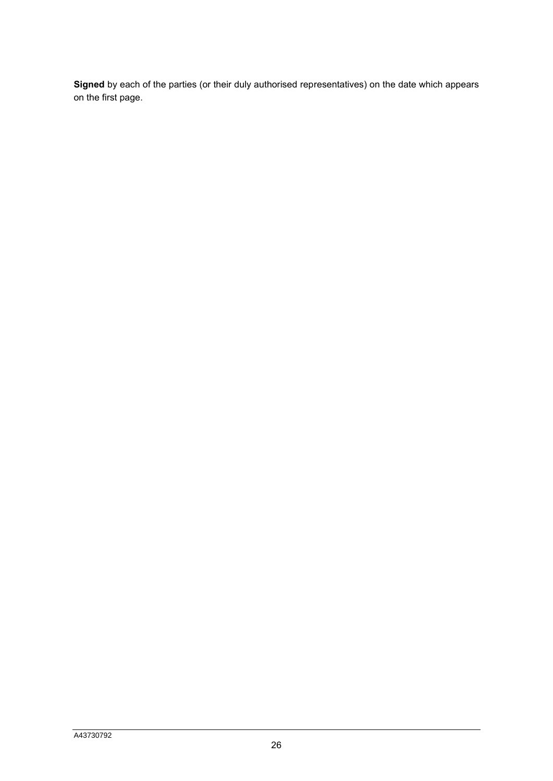**Signed** by each of the parties (or their duly authorised representatives) on the date which appears on the first page.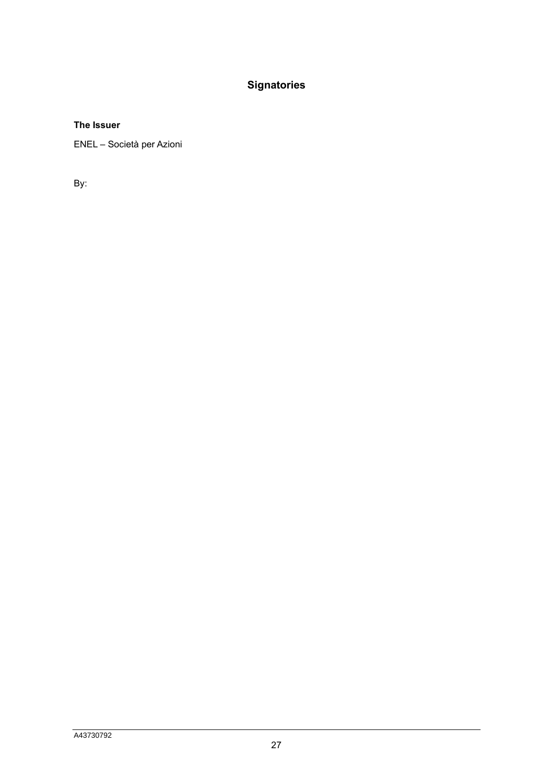# **Signatories**

#### **The Issuer**

ENEL – Società per Azioni

By: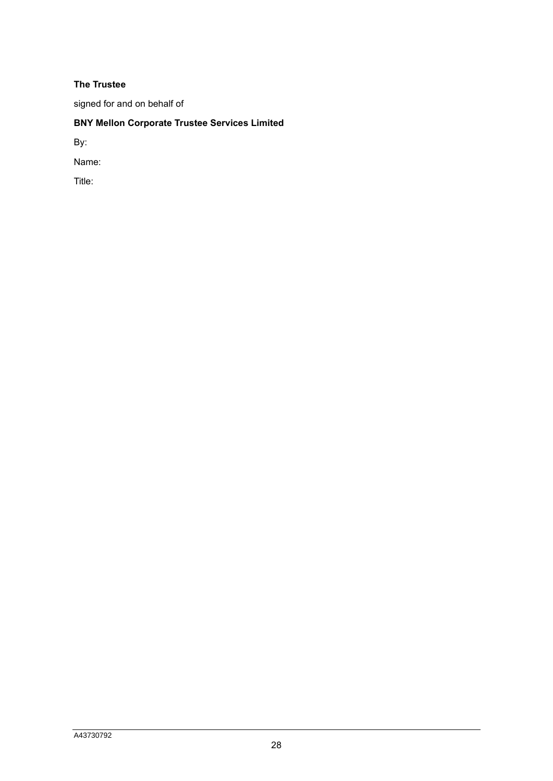#### **The Trustee**

signed for and on behalf of

# **BNY Mellon Corporate Trustee Services Limited**

By:

Name:

Title: